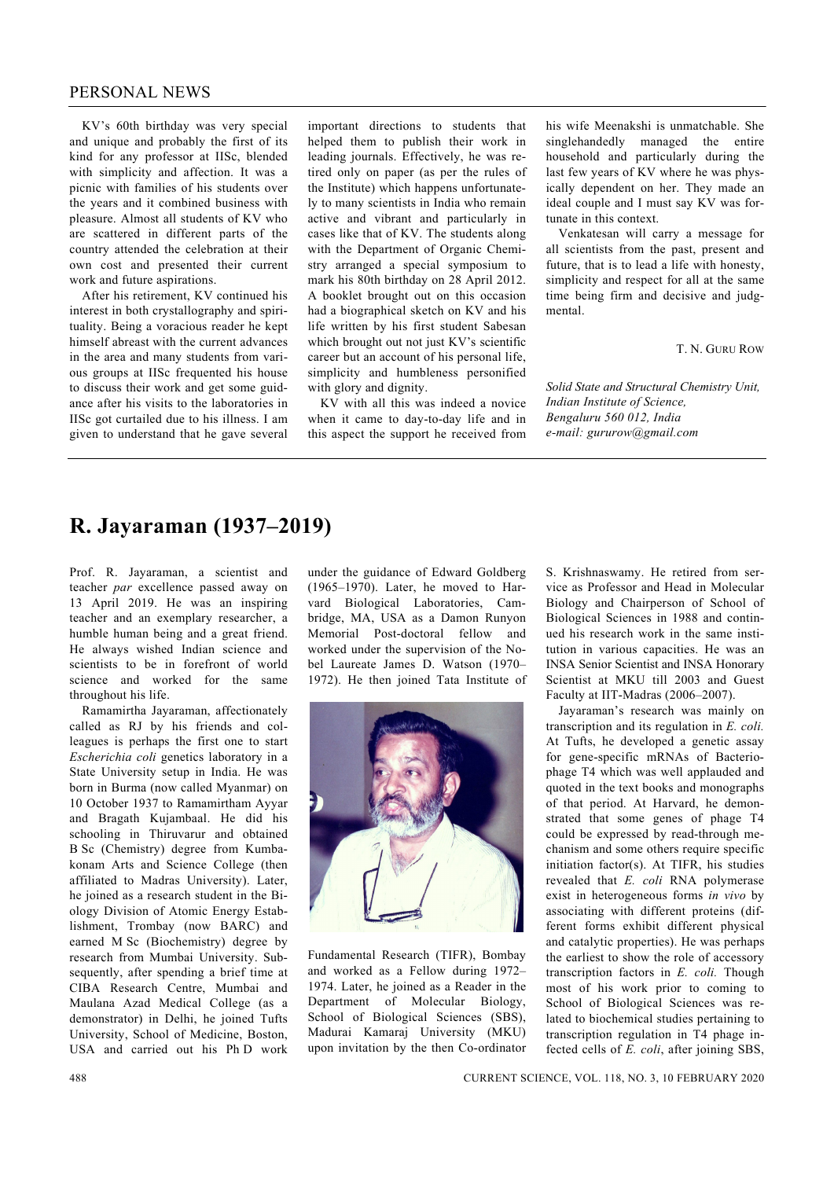## PERSONAL NEWS

 KV's 60th birthday was very special and unique and probably the first of its kind for any professor at IISc, blended with simplicity and affection. It was a picnic with families of his students over the years and it combined business with pleasure. Almost all students of KV who are scattered in different parts of the country attended the celebration at their own cost and presented their current work and future aspirations.

 After his retirement, KV continued his interest in both crystallography and spirituality. Being a voracious reader he kept himself abreast with the current advances in the area and many students from various groups at IISc frequented his house to discuss their work and get some guidance after his visits to the laboratories in IISc got curtailed due to his illness. I am given to understand that he gave several

important directions to students that helped them to publish their work in leading journals. Effectively, he was retired only on paper (as per the rules of the Institute) which happens unfortunately to many scientists in India who remain active and vibrant and particularly in cases like that of KV. The students along with the Department of Organic Chemistry arranged a special symposium to mark his 80th birthday on 28 April 2012. A booklet brought out on this occasion had a biographical sketch on KV and his life written by his first student Sabesan which brought out not just KV's scientific career but an account of his personal life, simplicity and humbleness personified with glory and dignity.

 KV with all this was indeed a novice when it came to day-to-day life and in this aspect the support he received from

his wife Meenakshi is unmatchable. She singlehandedly managed the entire household and particularly during the last few years of KV where he was physically dependent on her. They made an ideal couple and I must say KV was fortunate in this context.

 Venkatesan will carry a message for all scientists from the past, present and future, that is to lead a life with honesty, simplicity and respect for all at the same time being firm and decisive and judgmental.

T. N. GURU ROW

*Solid State and Structural Chemistry Unit, Indian Institute of Science, Bengaluru 560 012, India e-mail: gururow@gmail.com* 

## **R. Jayaraman (1937–2019)**

Prof. R. Jayaraman, a scientist and teacher *par* excellence passed away on 13 April 2019. He was an inspiring teacher and an exemplary researcher, a humble human being and a great friend. He always wished Indian science and scientists to be in forefront of world science and worked for the same throughout his life.

 Ramamirtha Jayaraman, affectionately called as RJ by his friends and colleagues is perhaps the first one to start *Escherichia coli* genetics laboratory in a State University setup in India. He was born in Burma (now called Myanmar) on 10 October 1937 to Ramamirtham Ayyar and Bragath Kujambaal. He did his schooling in Thiruvarur and obtained B Sc (Chemistry) degree from Kumbakonam Arts and Science College (then affiliated to Madras University). Later, he joined as a research student in the Biology Division of Atomic Energy Establishment, Trombay (now BARC) and earned M Sc (Biochemistry) degree by research from Mumbai University. Subsequently, after spending a brief time at CIBA Research Centre, Mumbai and Maulana Azad Medical College (as a demonstrator) in Delhi, he joined Tufts University, School of Medicine, Boston, USA and carried out his Ph D work

under the guidance of Edward Goldberg (1965–1970). Later, he moved to Harvard Biological Laboratories, Cambridge, MA, USA as a Damon Runyon Memorial Post-doctoral fellow and worked under the supervision of the Nobel Laureate James D. Watson (1970– 1972). He then joined Tata Institute of



Fundamental Research (TIFR), Bombay and worked as a Fellow during 1972– 1974. Later, he joined as a Reader in the Department of Molecular Biology, School of Biological Sciences (SBS), Madurai Kamaraj University (MKU) upon invitation by the then Co-ordinator S. Krishnaswamy. He retired from service as Professor and Head in Molecular Biology and Chairperson of School of Biological Sciences in 1988 and continued his research work in the same institution in various capacities. He was an INSA Senior Scientist and INSA Honorary Scientist at MKU till 2003 and Guest Faculty at IIT-Madras (2006–2007).

 Jayaraman's research was mainly on transcription and its regulation in *E. coli.*  At Tufts, he developed a genetic assay for gene-specific mRNAs of Bacteriophage T4 which was well applauded and quoted in the text books and monographs of that period. At Harvard, he demonstrated that some genes of phage T4 could be expressed by read-through mechanism and some others require specific initiation factor(s). At TIFR, his studies revealed that *E. coli* RNA polymerase exist in heterogeneous forms *in vivo* by associating with different proteins (different forms exhibit different physical and catalytic properties). He was perhaps the earliest to show the role of accessory transcription factors in *E. coli.* Though most of his work prior to coming to School of Biological Sciences was related to biochemical studies pertaining to transcription regulation in T4 phage infected cells of *E. coli*, after joining SBS,